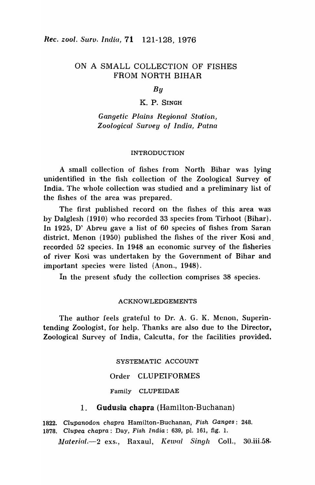# ON A SMALL COLLECTION OF FISHES FROM NORTH BIHAR

## *By*

### K. P. SINGH

*Gangetic Plains Regional Station, Zoological Survey of India, Patna* 

#### INTRODUCTION

A small collection of fishes from North Bihar was. lying unidentified in the fish collection of the Zoological Survey of India. The whole collection was studied and a preliminary list of the fishes of the area was prepared.

The first published record on the fishes of this area was by Dalglesh  $(1910)$  who recorded 33 species from Tirhoot (Bihar). In 1925, D' Abreu gave a list of  $60$  species of fishes from Saran district. Menon (1950) published the fishes of the river Kosi and. recorded 52 species. In 1948 an economic survey of the fisheries of river Kosi was undertaken by the Government of Bihar and important species were listed (Anon., 1948).

In the present sfudy the collection comprises 38 species.

#### ACKNOWLEDGEMENTS

The author feels grateful to Dr. A. G. K. Menon, Superintending Zoologist, for help. Thanks are also due to the Director, Zoological Survey of India, Calcutta, for the facilities provided.

#### SYSTEMATIC ACCOUNT

#### Order CLUPEIFORMES

Family CLUPEIDAE

## 1. Gudusia cbapra (Hamilton-Buchanan)

1822. Clupanodon chapra Hamilton-Buchanan, Fish Ganges: 248. 1878. Clupea chapra: Day, Fish India: 639, pI. 161, fig. 1.

*Material.*-2 exs., Raxaul, *Kewal Singh Coll.*, 30.iii.58.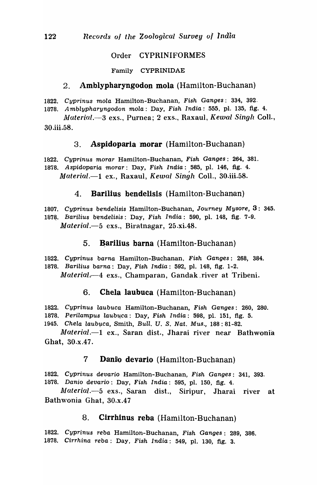## Order CYPRINIFORMES

Family CYPRINIDAE

# 2. Amblypharyngodon mola (Hamilton-Buchanan)

1822. Cyprinus mola Hamilton-Buchanan, Fish Ganges: 334, 392.

1878. Amblypharyngodon mola: Day, Fish India: 555, pI. 135, fig. 4. *il-laterial.-3* exs., Purnea; 2 exs., Raxaul, *Kewal* Singh ColI.,

30.iii.5S.

# 3. Aspidoparia morar (Hamilton-Buchanan)

*1822.* Cyprinus morar Hamilton-Buchanan, Fish Ganges: 264, 38!. 1878. Aspidoparia morar: Day, Fish India: 585, pl. 146, fig. 4. *Material.-l* ex., Raxaul, *Kewal* Singh ColI., 30.iii.5S.

# 4. Barilius bendelisis (Hamilton-Buchanan)

1807. Cyprinus bendelisis Hamilton-Buchanan, Journey Mysore, 3: 345. 1878. Barilius bendelisis: Day, Fish India: 590, pl. 148, fig. 7-9. *Material.*-5 exs., Biratnagar, 25.xi.48.

# 5. **Barilius barna** (Hamilton-Buchanan)

*1822.* Cyprinus barna Hamilton-Buchanan, Fish Ganges: 268, 384. 1878. Barilius barna: Day, Fish India: 592, pI. 148, fig. 1-2. *Material.*—4 exs., Champaran, Gandak river at Tribeni.

# 6. Chela laubuca (Hamilton-Buchanan)

1822. Cyprinus laubuca Hamilton-Buchanan, Fish Ganges: 260, 280. 1878. Perilampus laubuca: Day, Fish India: 598, pl. 151, fig. 5. 1945. Chela laubuca, Smith, Bull. U. S. Nat. Mus., 188:81-82.

*Malerial.-l* ex., Saran dist., Jharai river near Bathwonia Ghat, 30.x.47.

# 7 Danio devario (Hamilton-Buchanan)

*1822.* Cyprinus devario Hamilton-Buchanan, Fish Ganges: 341, 393. 1878. Danio devario: Day, Fish India: 595, pI. 150, fig. 4.

*Itlaterial.-5* exs., Saran dist., Siripur, Jharai river at Bathwonia Ghat, 30.x.47

# 8. Cirrhinus reba (Hamilton-Buchanan)

*1822.* Cyprinus reba Hamilton-Buchanan, Fish Ganges: 289, 386. 1878. Cirrhina reba: Day, Fish India: 549, pI. 130, fig. 3.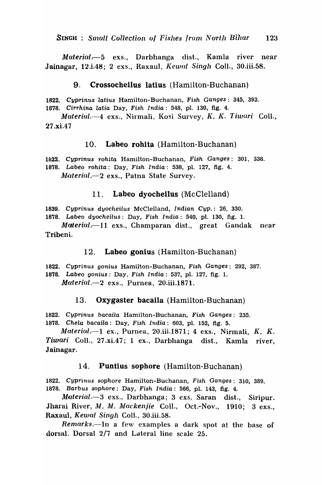*Material.·-5* exs., Darbhanga dist., Kamla river near Jainagar, 12.i.48; 2 exs., Raxaul, Kewal Singh CoIl., 30.iii.58.

## 9. Crossocheilus latius (Hamilton-Buchanan)

1822. Cyprinus latius Hamilton-Buchanan, Fish Ganges: 345, 393.

1878. Cirrhina latia Day, Fish India: 548, pI. 130, fig. 4.

Material. $-4$  exs., Nirmali, Kosi Survey, K. K. Tiwari Coll., 27.xi.47

## 10. Labeo rohita (Hamilton-Buchanan)

1822. Cyprinus rohita Hamilton-Buchanan, Fish Ganges: 301, 338. 1878. Labeo rohita: Day, Fish India: 538, pI. 127, fig. 4. *Material.*-2 exs., Patna State Survey.

## 11. Labeo dyocheilus (McClelland)

1839. Cyprinus dyocheilus McClelland, Indian Cyp.: 26, 330.

1878. Labeo dyocheilus: Day, Fish India: 540, pI. 130, fig. 1.

*Material.*-11 exs., Champaran dist., great Gandak near Tribeni.

## 12. Labeo gonius (Hamilton-Buchanan)

*1822.* Cyprinus gonius Hamilton-Buchanan, Fish Ganges: 292, 387. 1878. Labeo gonius: Day, Fish India: 537, pI. 127, fig. 1.

*Mluteriul.-2* exs., Purnea, 20.iii.1871.

# 13. Oxygaster bacaila (Hamilton-Buchanan)

1822. Cyprinus bacaila Hamilton-Buchanan, Fish Ganges: 235. 1878. Chela bacaila: Day, Fish India: 603, pI. 152, fig. 5.

*Material.*--1 ex., Purnea, 20.iii.1871; 4 exs., Nirmali, K. K. Tiwari ColI., 27 .xi.47; 1 ex-, Darbhanga dist., I{amla' river, Jainagar.

# 14. Puntius sopbore (Hamilton-Buchanan)

1822. Cyprinus sophore Hamilton-Buchanan, Fish Ganges: 310, 389. 1878. Barbus sophore: Day, Fish India: 566, pI. 143, fig. 4.

*Material.-3* exs., Darbhanga; 3 exs. Saran dist., Siripur. Jharai River, M. M. Mackenjie Coll., Oct.-Nov., 1910; 3 exs., Raxaul, *Kewal* Singh ColI., 30.iii.58.

Remarks.-In a few examples a dark spot at the base of dorsal. Dorsal 2/'7 and Lateral line scale 25.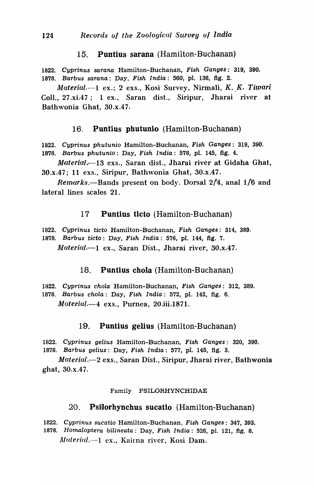### 15. Puntius sarana (Hamilton-Buchanan)

1822. Cyprinus sarana Hamilton-Buchanan, Fish Ganges: 319, 390. 1878. Barbus sarana: Day, Fish India: 560, pI. 136, fig. 2.

*Material.*--1 ex.; 2 exs., Kosi Survey, Nirmali, *K. K. Tiwari* Coll., 27.xi.47; 1 ex., Saran dist., Siripur, Jharai river at Bathwonia Ghat, 30.x.47.

### 16. Puntius pbutunio (Hamilton-Buchanan)

- 1822. Cyprinus phutunio Hamilton-Buchanan, Fish Ganges: 319, 390.
- 1878. Barbus phutunio: Day, Fish India: 578, pI. 145, fig. 4.

*Materia/ . .-13* exs., Saran dist., Jharai river at Gidaha Ghat,  $30.x.47$ ; 11 exs., Siripur, Bathwonia Ghat,  $30.x.47$ .

*Remarks.*—Bands present on body. Dorsal 2/4, anal 1/6 and lateral lines scales 21.

### 17 Puntius ticto (Hamilton-Buchanan)

1822. Cyprinus ticto Hamilton-Buchanan, Fish Ganges: 314, 389.

1878. Barbus ticto: Day, Fish India: 576, pI. 144, fig. 7.

*Material.*--1 ex., Saran Dist., Jharai river, 30.x.47.

### 18. Puntius chola (Hamilton-Buchanan)

1822. Cyprinus chola Hamilton-Buchanan, Fish Ganges: 312, 389. 1878. Barbus chola: Day, Fish India: 572, pI. 142, fig. 6.

*Material.-4* exs., Purnea, 20.iii.1B71.

### 19. Puntius gelius (Hamilton-Buchanan)

1822. Cyprinus gelius Hamilton-Buchanan, Fish Ganges: 320, 390. 1878. Barbus gelius: Day, Fish India: 577, pI. 145, fig. 3.

*Material.-2* exs., Saran Dist., Siripur, Jharai river, Bathwonia ghat, 30.x.47.

#### Family PSILORHYNCHIDAE

### 20. Psillorhynchus sucatio (Hamilton-Buchanan)

1822. Cyprinus sucatio Hamilton-Buchanan, Fish Ganges: 347, 393. 1878. Homaloptera bilineata: Day, Fish India: 526, pI. 121, fig. 8. *Material.*-1 ex., Kairna river, Kosi Dam.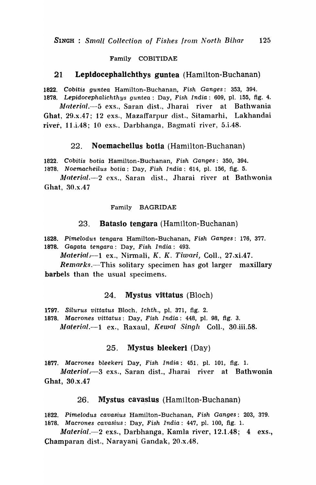#### Family COBITIDAE

#### 21 Lepldocephallchthys guntea (Hamilton-Buchanan)

1822. Cobitis guntea Hamilton-Buchanan, Fish Ganges: 353, 394.

1878. Lepidocephalichthys guntea: Day, Fish India: 609, pI. 155, fig. 4. *Alaterial.-5* exs., Saran dist., Jharai river at Bathwania

Ghat, 29.x.47; 12 exs., Mazaffarpur dist., Sitamarhi, Lakhandai river, 11.*i.*48; 10 exs., Darbhanga, Bagmati river, 5.*i.*48.

#### 22. Noemacheilus botia (Hamilton-Buchanan)

1822. Cobitis botia Hamilton-Buchanan, Fish Ganges: 350, 394.

1878. Noemacheilus botia: Day, Fish India: 614, pI. 156, fig. 5.

*Material.*-2 exs., Saran dist., Jharai river at Bathwonia Ghat, 30.x.47

Family BAGRIDAE

#### 23. Batasio tengara (Hamilton~Buchanan)

1828. Pimelodus tengara Hamilton-Buchanan, Fish Ganges: 176, 377. 1878. Gagata tengara: Day, Fish India: 493.

Material  $-1$  ex., Nirmali, K. K. Tiwari, Coll., 27.xi.47.

*Remarks.*—This solitary specimen has got larger maxillary barbels than the usual specimens.

### $24.$  Mystus vittatus (Bloch)

1797. Silurus vittatus Bloch, Ichth., pl. 371, fig. 2.

1878. Macrones vittatus: Day, Fish India: 448, pI. 98, fig. 3.

*Alaterial.-1* ex., Raxaul, Kewal *Singh* ColI., 30.iii.58.

### 25, Mystus bleekerl (Day)

1877. Macrones bleekeri Day, Fish India: 451, pI. 101, fig. 1.

 $Material - 3$  exs., Saran dist., Jharai river at Bathwonia Ghat, 30.x.47

### 26. Mystus cavasius (Hamilton-Buchanan)

1822. Pimelodus cavasius Hamilton-Buchanan, Fish Ganges: 203, 379. 1878. Macrones cavasius: Day, Fish India: 447, pI. 100, fig. 1.

*Material.-2* exs., Darbhanga, Kamla river, 12.1.48; 4 exs., Champaran dist., Narayani Gandak, 20.x.48,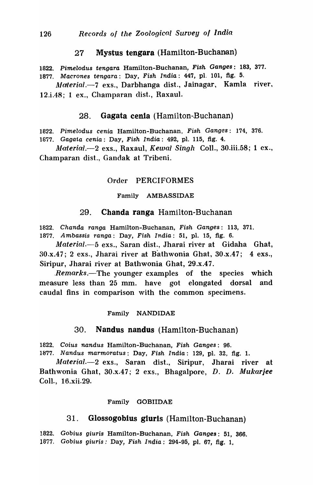## 27 Mystus tengara (Hamilton-Buchanan)

1822. Pimelodus tengara Hamilton-Buchanan, Fish Ganges: 183, 377. 1877. Macrones tengara: Day, Fish India: 447, pI. 101, fig. 5.

Material.-7 exs., Darbhanga dist., Jainagar, Kamla river, 12.i.48; 1 ex., Champaran dist., Raxaul.

## 28. Gagata cenia (Hamilton-Buchanan)

1822. Pimelodus cenia Hamilton-Buchanan, Fish Ganges: 174, 376.

1B77. Gagata cenia: Day, Fish India: 492, pI. 115, fig. 4.

 $Material. \rightarrow 2$  exs., Raxaul, Kewal Singh Coll., 30.iii.58; 1 ex., Champaran dist., Gandak at Tribeni.

#### Order PERCIFORMES

#### Family AMBASSIDAE

### 29. Chanda ranga Hamilton-Buchanan

*1822.* Chanda ranga Hamilton-Buchanan, Fish Ganges: 113, 371. 1877. Ambassis ranga: Day, Fish India: 51, pI. 15, fig. 6.

Material.-5 exs., Saran dist., Jharai river at Gidaha Ghat, 30.x.47; 2 exs., Jharai river at Bathwonia Ghat, 30.x.47; 4 exs., Siripur, Jharai river at Bathwonia Ghat, 29.x.47.

*\_Remarks.-The* younger examples of the species which measure less than 25 mm. have got elongated dorsal and caudal fins in comparison with the common specimens.

#### Family NANDIDAE

#### 30. Nandus nandus (Hamilton-Buchanan)

1822. Coius nandus Hamilton-Buchanan, Fish Ganges: 96.

1877. Nandus marmoratus: Day, Fish India: 129, pI. 32, fig. 1.

Material.-2 exs., Saran dist., Siripur, Jharai river at Bathwonia Ghat, 30.x.47; 2 exs., Bhagalpore, D. D. Mukarjee ColI., 16.xii,29.

## Family GOBIIDAE

# 31. Glossogobius giuris (Hamilton-Buchanan)

1822. Gobius giuris Hamilton-Buchanan, Fish Ganges: 51, 366. 1877. Gobius giuris: Day, Fish India: 294-95, pl. 67, fig. 1,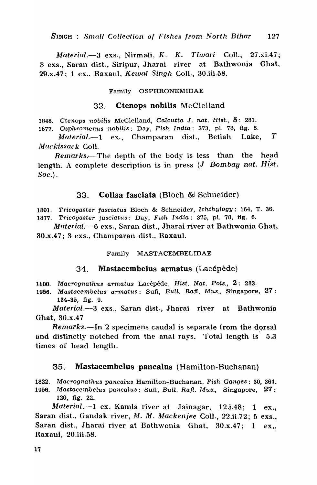*Material.-3* exs., Nirmali, *K. K. Tiwari* ColI., 27 .xi.47; 3 exs., Saran dist., Siripur, JhaTai river at Bathwonia Ghat, 2"9.x.47; 1 ex., Raxaul, *Kewall Singh* ColI., 30.iii.58.

#### Family OSPHRONEMIDAE

#### 32. Ctenops nobilis McClelland

1848. Ctenops nobilis McClelland, Calcutta J. nat. Hist., 5: 281.

1877. Osphromenus nobilis: Day, Fish. India: 373, pI. 78, fig. 5.

*Material.*-1 ex., Champaran dist., Betiah Lake, T *Afllckissack* ColI.

*Remarks.*-The depth of the body is less than the head length. A complete description is in press  $(J$  Bombay nat. Hist. Soc.).

## 33. Colisa fasciata (Bloch &! Schneider)

1801. Tricogaster fasciatus Bloch & Schneider, Ichthylogy: 164, T. 36. 1877. Tricogaster fasciatus: Day, Fish India: 375, pI. 78, fig. 6.

*Material.-6* exs., Saran dist., Jharai river at Bathwonia Ghat, 30.x.47; 3 exs., Champaran dist., Raxaul.

#### Family MASTACEMBELIDAE

### 34. Mastacembelus armatus (Lacépède)

1800. Macrognathus armatus Lacépède, Hist. Nat. Pois., 2: 283.

*1956.* Mastacembelus armatus: Sufi, *Bull. Raft.* Mus., Singapore, 27: 134-35, fig. 9.

*Material.-3* exs., Saran dist., Jharai river at Bathwonia Ghat, 30.x.47

*Remarks.*—In 2 specimens caudal is separate from the dorsal and distinctly notched from the anal rays. Total length is 5.3 times of head length.

### 35. Mastacembelus pancalus (Hamilton-Buchanan)

1822. Macrognathus pancalus Hamilton-Buchanan, Fish Ganges: 30, 364. *1956.* Mastacembelus pancalus: Sufi, *Bull.* Raft. Mus., Singapore, 27: 120, fig. 22.

*Materiai.-l* ex. Kamla river at Jainagar, 12.i.48; 1 ex., Saran dist., Gandak river,  $M. M.$  Mackenjee Coll., 22.ii.72; 5 exs., Saran dist., Jharai river at Bathwonia Ghat, 30.x.47; 1 ex.. Raxaul, 20.iii,58.